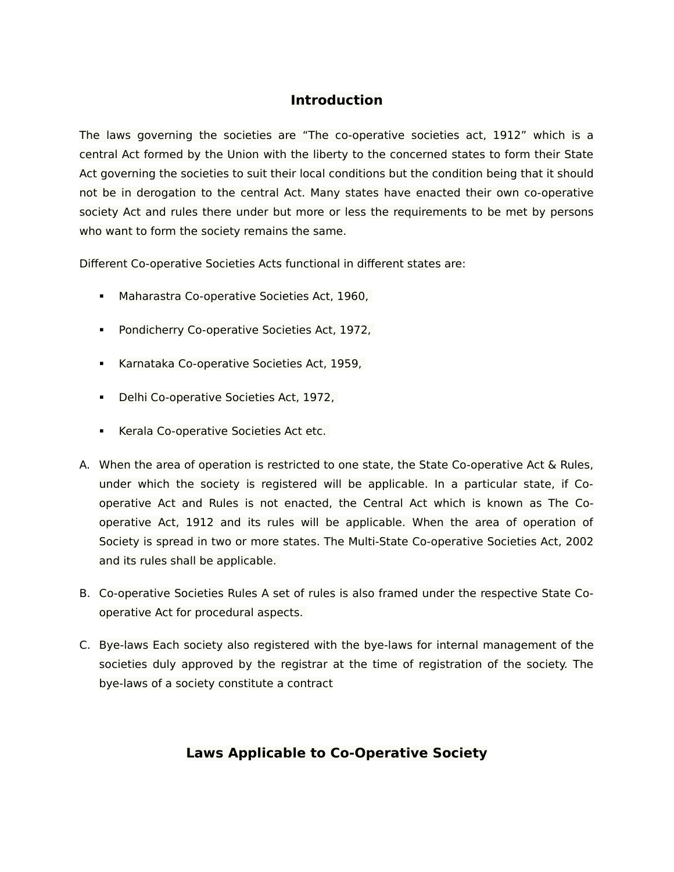# **Introduction**

The laws governing the societies are "The co-operative societies act, 1912" which is a central Act formed by the Union with the liberty to the concerned states to form their State Act governing the societies to suit their local conditions but the condition being that it should not be in derogation to the central Act. Many states have enacted their own co-operative society Act and rules there under but more or less the requirements to be met by persons who want to form the society remains the same.

Different Co-operative Societies Acts functional in different states are:

- **Maharastra Co-operative Societies Act, 1960,**
- **Pondicherry Co-operative Societies Act, 1972,**
- **Karnataka Co-operative Societies Act, 1959,**
- Delhi Co-operative Societies Act, 1972,
- **Kerala Co-operative Societies Act etc.**
- A. When the area of operation is restricted to one state, the State Co-operative Act & Rules, under which the society is registered will be applicable. In a particular state, if Cooperative Act and Rules is not enacted, the Central Act which is known as The Cooperative Act, 1912 and its rules will be applicable. When the area of operation of Society is spread in two or more states. The Multi-State Co-operative Societies Act, 2002 and its rules shall be applicable.
- B. Co-operative Societies Rules A set of rules is also framed under the respective State Cooperative Act for procedural aspects.
- C. Bye-laws Each society also registered with the bye-laws for internal management of the societies duly approved by the registrar at the time of registration of the society. The bye-laws of a society constitute a contract

# **Laws Applicable to Co-Operative Society**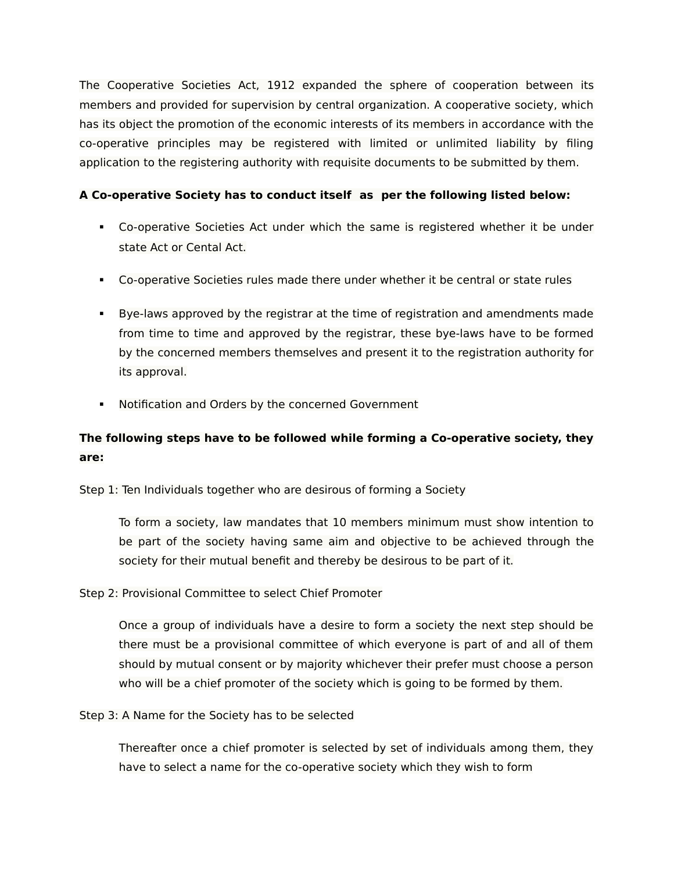The Cooperative Societies Act, 1912 expanded the sphere of cooperation between its members and provided for supervision by central organization. A cooperative society, which has its object the promotion of the economic interests of its members in accordance with the co-operative principles may be registered with limited or unlimited liability by filing application to the registering authority with requisite documents to be submitted by them.

## **A Co-operative Society has to conduct itself as per the following listed below:**

- Co-operative Societies Act under which the same is registered whether it be under state Act or Cental Act.
- Co-operative Societies rules made there under whether it be central or state rules
- Bye-laws approved by the registrar at the time of registration and amendments made from time to time and approved by the registrar, these bye-laws have to be formed by the concerned members themselves and present it to the registration authority for its approval.
- **Notification and Orders by the concerned Government**

# **The following steps have to be followed while forming a Co-operative society, they are:**

Step 1: Ten Individuals together who are desirous of forming a Society

To form a society, law mandates that 10 members minimum must show intention to be part of the society having same aim and objective to be achieved through the society for their mutual benefit and thereby be desirous to be part of it.

## Step 2: Provisional Committee to select Chief Promoter

Once a group of individuals have a desire to form a society the next step should be there must be a provisional committee of which everyone is part of and all of them should by mutual consent or by majority whichever their prefer must choose a person who will be a chief promoter of the society which is going to be formed by them.

Step 3: A Name for the Society has to be selected

Thereafter once a chief promoter is selected by set of individuals among them, they have to select a name for the co-operative society which they wish to form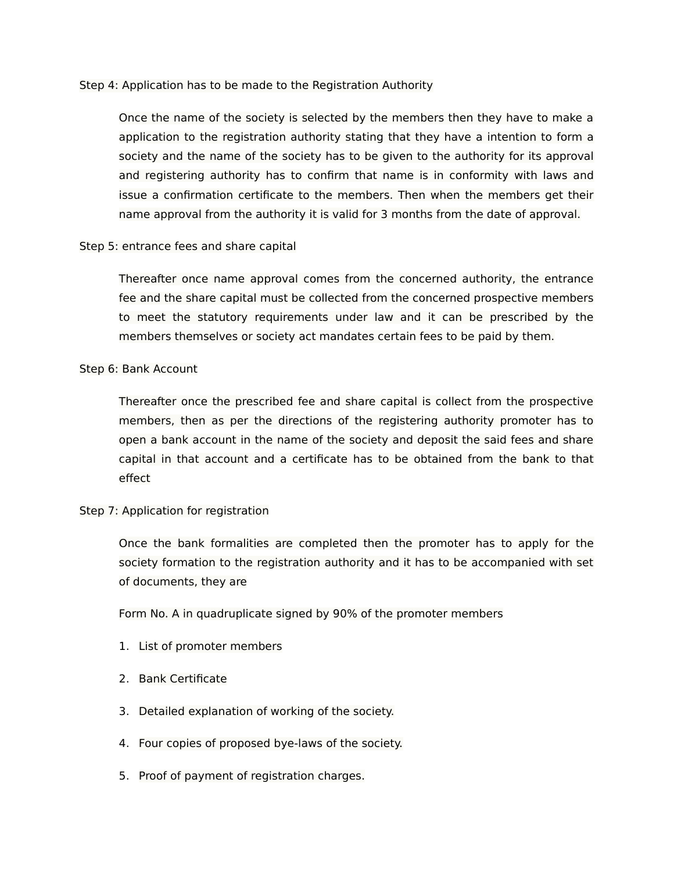#### Step 4: Application has to be made to the Registration Authority

Once the name of the society is selected by the members then they have to make a application to the registration authority stating that they have a intention to form a society and the name of the society has to be given to the authority for its approval and registering authority has to confirm that name is in conformity with laws and issue a confirmation certificate to the members. Then when the members get their name approval from the authority it is valid for 3 months from the date of approval.

#### Step 5: entrance fees and share capital

Thereafter once name approval comes from the concerned authority, the entrance fee and the share capital must be collected from the concerned prospective members to meet the statutory requirements under law and it can be prescribed by the members themselves or society act mandates certain fees to be paid by them.

## Step 6: Bank Account

Thereafter once the prescribed fee and share capital is collect from the prospective members, then as per the directions of the registering authority promoter has to open a bank account in the name of the society and deposit the said fees and share capital in that account and a certificate has to be obtained from the bank to that effect

#### Step 7: Application for registration

Once the bank formalities are completed then the promoter has to apply for the society formation to the registration authority and it has to be accompanied with set of documents, they are

Form No. A in quadruplicate signed by 90% of the promoter members

- 1. List of promoter members
- 2. Bank Certificate
- 3. Detailed explanation of working of the society.
- 4. Four copies of proposed bye-laws of the society.
- 5. Proof of payment of registration charges.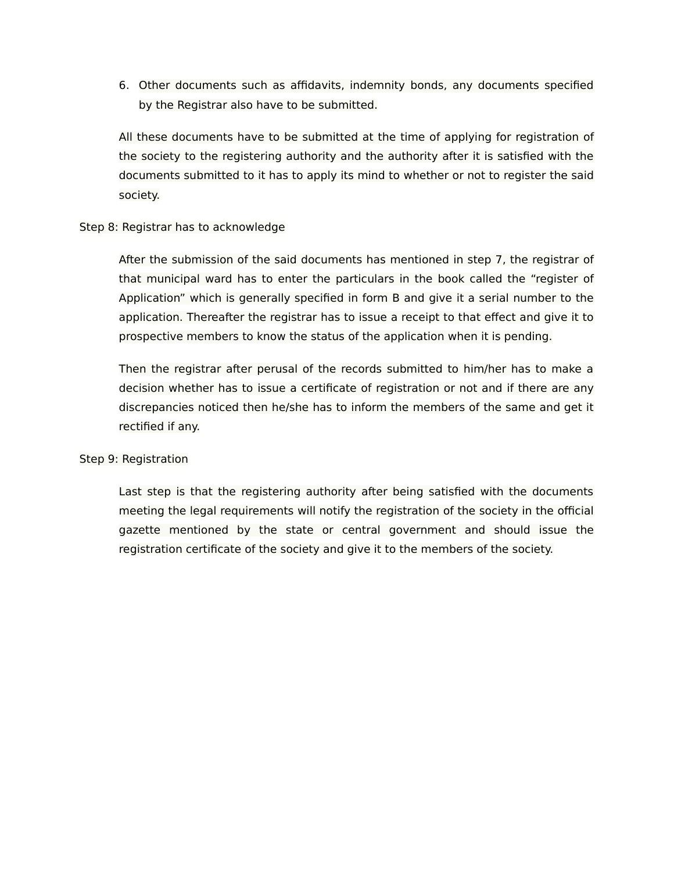6. Other documents such as affidavits, indemnity bonds, any documents specified by the Registrar also have to be submitted.

All these documents have to be submitted at the time of applying for registration of the society to the registering authority and the authority after it is satisfied with the documents submitted to it has to apply its mind to whether or not to register the said society.

## Step 8: Registrar has to acknowledge

After the submission of the said documents has mentioned in step 7, the registrar of that municipal ward has to enter the particulars in the book called the "register of Application" which is generally specified in form B and give it a serial number to the application. Thereafter the registrar has to issue a receipt to that effect and give it to prospective members to know the status of the application when it is pending.

Then the registrar after perusal of the records submitted to him/her has to make a decision whether has to issue a certificate of registration or not and if there are any discrepancies noticed then he/she has to inform the members of the same and get it rectified if any.

#### Step 9: Registration

Last step is that the registering authority after being satisfied with the documents meeting the legal requirements will notify the registration of the society in the official gazette mentioned by the state or central government and should issue the registration certificate of the society and give it to the members of the society.